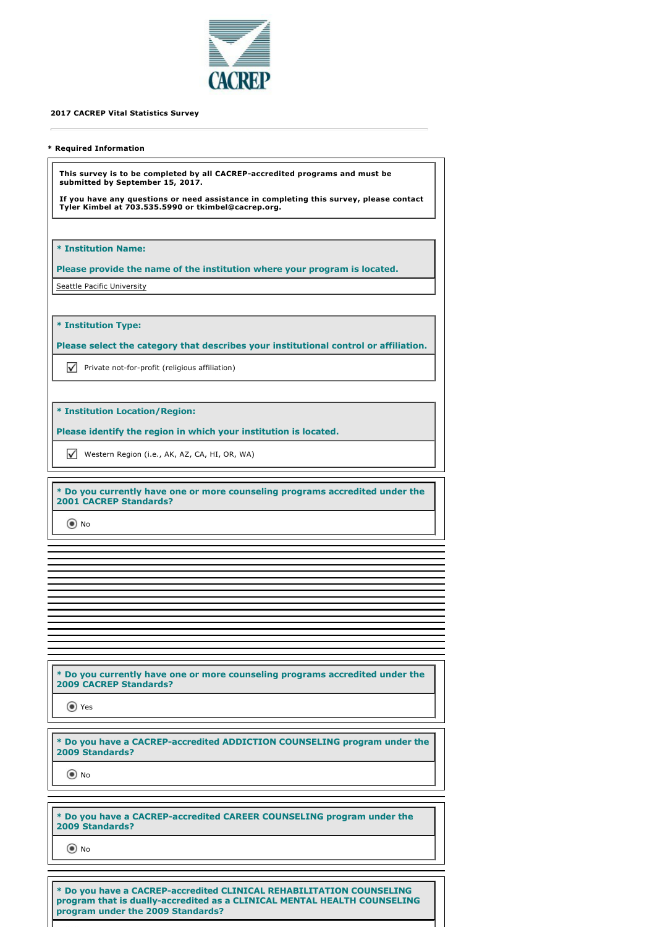

## **2017 CACREP Vital Statistics Survey**

## **\* Required Information**

**This survey is to be completed by all CACREP-accredited programs and must be submitted by September 15, 2017.** 

**If you have any questions or need assistance in completing this survey, please contact Tyler Kimbel at 703.535.5990 or tkimbel@cacrep.org.**

**\* Institution Name:**

**Please provide the name of the institution where your program is located.** Seattle Pacific University

**\* Institution Type:**

**Please select the category that describes your institutional control or affiliation.**

 $\nabla$  Private not-for-profit (religious affiliation)

**\* Institution Location/Region:**

**Please identify the region in which your institution is located.**

Western Region (i.e., AK, AZ, CA, HI, OR, WA)

**\* Do you currently have one or more counseling programs accredited under the 2001 CACREP Standards?**

O No

**\* Do you currently have one or more counseling programs accredited under the 2009 CACREP Standards?**

Yes

**\* Do you have a CACREP-accredited ADDICTION COUNSELING program under the 2009 Standards?**

O No

**\* Do you have a CACREP-accredited CAREER COUNSELING program under the 2009 Standards?**

O No

**\* Do you have a CACREP-accredited CLINICAL REHABILITATION COUNSELING program that is dually-accredited as a CLINICAL MENTAL HEALTH COUNSELING program under the 2009 Standards?**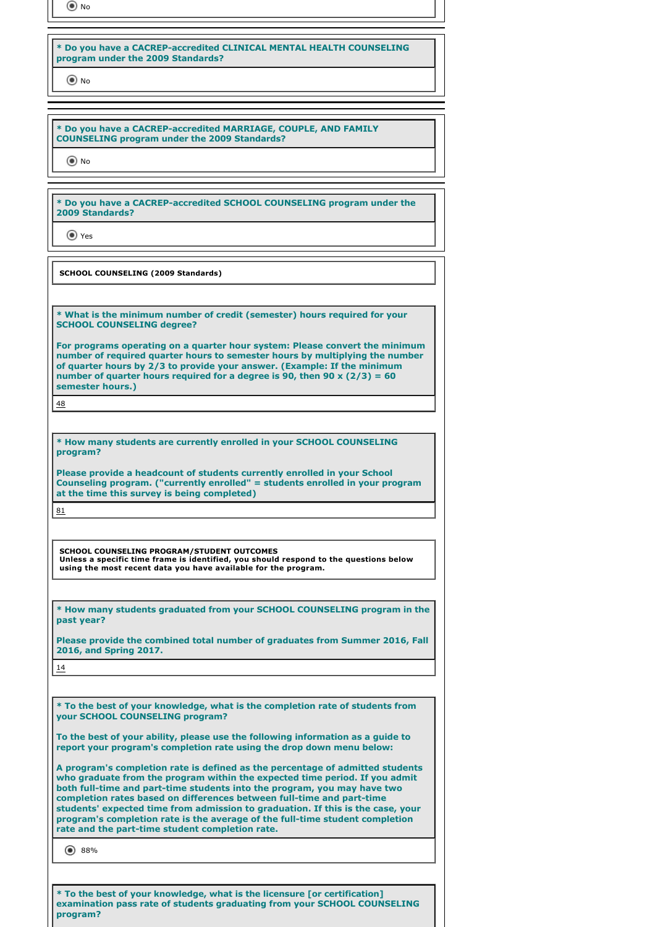time No

## **\* Do you have a CACREP-accredited CLINICAL MENTAL HEALTH COUNSELING program under the 2009 Standards?**

No

**\* Do you have a CACREP-accredited MARRIAGE, COUPLE, AND FAMILY COUNSELING program under the 2009 Standards?**

O No

**\* Do you have a CACREP-accredited SCHOOL COUNSELING program under the 2009 Standards?**

Yes

**SCHOOL COUNSELING (2009 Standards)**

**\* What is the minimum number of credit (semester) hours required for your SCHOOL COUNSELING degree?**

**For programs operating on a quarter hour system: Please convert the minimum number of required quarter hours to semester hours by multiplying the number of quarter hours by 2/3 to provide your answer. (Example: If the minimum number of quarter hours required for a degree is 90, then 90 x (2/3) = 60 semester hours.)**

48

**\* How many students are currently enrolled in your SCHOOL COUNSELING program?**

**Please provide a headcount of students currently enrolled in your School Counseling program. ("currently enrolled" = students enrolled in your program at the time this survey is being completed)**

81

**SCHOOL COUNSELING PROGRAM/STUDENT OUTCOMES Unless a specific time frame is identified, you should respond to the questions below using the most recent data you have available for the program.**

**\* How many students graduated from your SCHOOL COUNSELING program in the past year?**

**Please provide the combined total number of graduates from Summer 2016, Fall 2016, and Spring 2017.**

14

**\* To the best of your knowledge, what is the completion rate of students from your SCHOOL COUNSELING program?**

**To the best of your ability, please use the following information as a guide to report your program's completion rate using the drop down menu below:**

**A program's completion rate is defined as the percentage of admitted students who graduate from the program within the expected time period. If you admit both full-time and part-time students into the program, you may have two completion rates based on differences between full-time and part-time students' expected time from admission to graduation. If this is the case, your program's completion rate is the average of the full-time student completion rate and the part-time student completion rate.**

◎ 88%

**\* To the best of your knowledge, what is the licensure [or certification] examination pass rate of students graduating from your SCHOOL COUNSELING program?**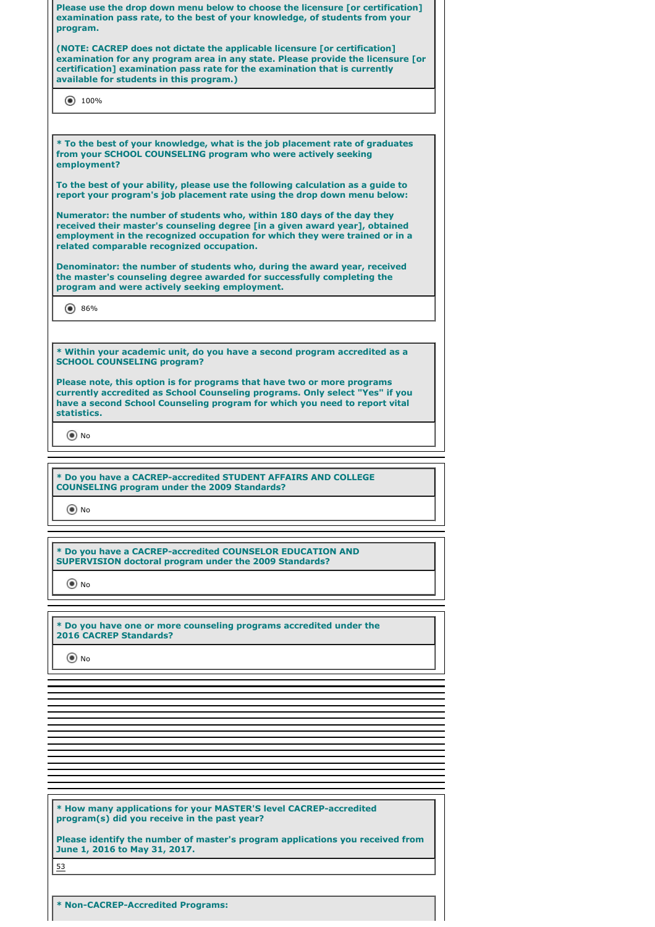| Please use the drop down menu below to choose the licensure [or certification]<br>examination pass rate, to the best of your knowledge, of students from your<br>program.                                                                                                               |  |
|-----------------------------------------------------------------------------------------------------------------------------------------------------------------------------------------------------------------------------------------------------------------------------------------|--|
| (NOTE: CACREP does not dictate the applicable licensure for certification]<br>examination for any program area in any state. Please provide the licensure [or<br>certification] examination pass rate for the examination that is currently<br>available for students in this program.) |  |
| $\circledbullet$ 100%                                                                                                                                                                                                                                                                   |  |
|                                                                                                                                                                                                                                                                                         |  |
| * To the best of your knowledge, what is the job placement rate of graduates<br>from your SCHOOL COUNSELING program who were actively seeking<br>employment?                                                                                                                            |  |
| To the best of your ability, please use the following calculation as a guide to<br>report your program's job placement rate using the drop down menu below:                                                                                                                             |  |
| Numerator: the number of students who, within 180 days of the day they<br>received their master's counseling degree [in a given award year], obtained<br>employment in the recognized occupation for which they were trained or in a<br>related comparable recognized occupation.       |  |
| Denominator: the number of students who, during the award year, received<br>the master's counseling degree awarded for successfully completing the<br>program and were actively seeking employment.                                                                                     |  |
| $\left( \bullet \right)$ 86%                                                                                                                                                                                                                                                            |  |
|                                                                                                                                                                                                                                                                                         |  |
| * Within your academic unit, do you have a second program accredited as a<br><b>SCHOOL COUNSELING program?</b>                                                                                                                                                                          |  |
| Please note, this option is for programs that have two or more programs<br>currently accredited as School Counseling programs. Only select "Yes" if you<br>have a second School Counseling program for which you need to report vital<br>statistics.                                    |  |
| $\circ$ No                                                                                                                                                                                                                                                                              |  |
|                                                                                                                                                                                                                                                                                         |  |
| * Do you have a CACREP-accredited STUDENT AFFAIRS AND COLLEGE<br><b>COUNSELING program under the 2009 Standards?</b>                                                                                                                                                                    |  |
| $\odot$ No                                                                                                                                                                                                                                                                              |  |
|                                                                                                                                                                                                                                                                                         |  |
| * Do you have a CACREP-accredited COUNSELOR EDUCATION AND<br><b>SUPERVISION doctoral program under the 2009 Standards?</b>                                                                                                                                                              |  |
| $\odot$ No                                                                                                                                                                                                                                                                              |  |
|                                                                                                                                                                                                                                                                                         |  |
| * Do you have one or more counseling programs accredited under the<br><b>2016 CACREP Standards?</b>                                                                                                                                                                                     |  |

O No

**\* How many applications for your MASTER'S level CACREP-accredited program(s) did you receive in the past year?**

**Please identify the number of master's program applications you received from June 1, 2016 to May 31, 2017.**

53

**\* Non-CACREP-Accredited Programs:**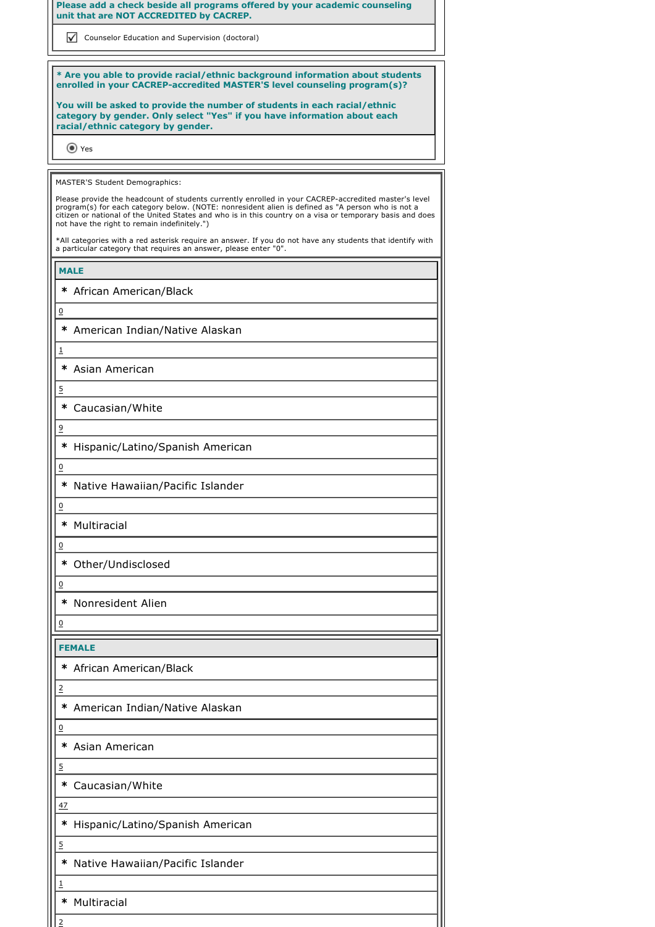**Please add a check beside all programs offered by your academic counseling unit that are NOT ACCREDITED by CACREP.**

**V** Counselor Education and Supervision (doctoral)

**\* Are you able to provide racial/ethnic background information about students enrolled in your CACREP-accredited MASTER'S level counseling program(s)?**

**You will be asked to provide the number of students in each racial/ethnic category by gender. Only select "Yes" if you have information about each racial/ethnic category by gender.**

Yes

MASTER'S Student Demographics:

Please provide the headcount of students currently enrolled in your CACREP-accredited master's level program(s) for each category below. (NOTE: nonresident alien is defined as "A person who is not a citizen or national of the United States and who is in this country on a visa or temporary basis and does not have the right to remain indefinitely.")

\*All categories with a red asterisk require an answer. If you do not have any students that identify with a particular category that requires an answer, please enter "0".

**MALE**

0

1

5

9

0

0

0

0

0

2

0

5

**\***  African American/Black

**\***  American Indian/Native Alaskan

**\***  Asian American

**\***  Caucasian/White

**\***  Hispanic/Latino/Spanish American

**\***  Native Hawaiian/Pacific Islander

**\***  Multiracial

**\***  Other/Undisclosed

**\***  Nonresident Alien

**FEMALE**

**\***  African American/Black

**\***  American Indian/Native Alaskan

**\***  Asian American

**\***  Caucasian/White

47

5

1

**\***  Hispanic/Latino/Spanish American

**\***  Native Hawaiian/Pacific Islander

**\***  Multiracial

2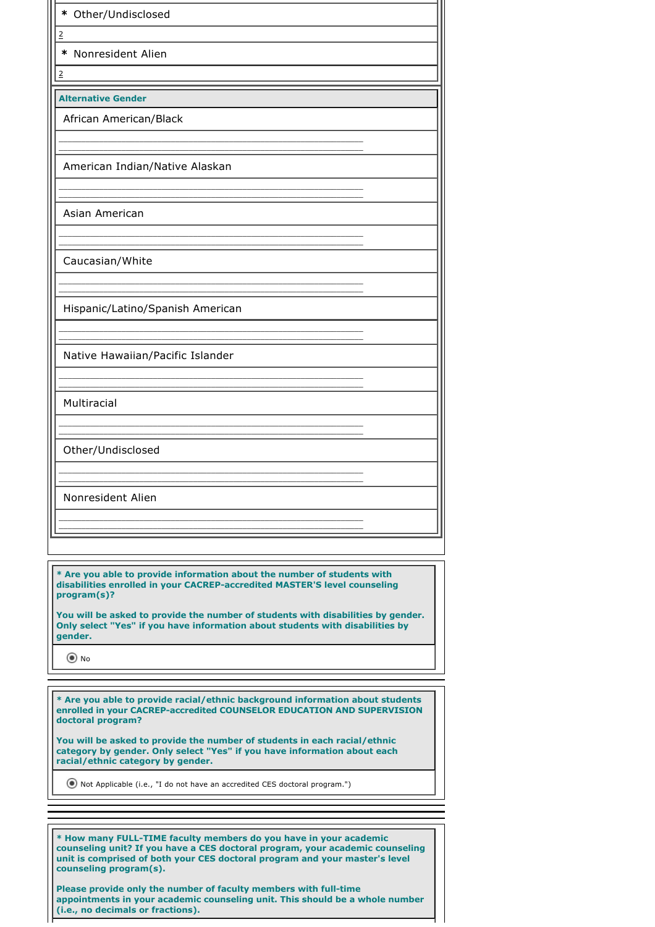| * Other/Undisclosed              |
|----------------------------------|
| $\underline{\mathsf{2}}$         |
| * Nonresident Alien              |
| $\overline{2}$                   |
| <b>Alternative Gender</b>        |
| African American/Black           |
|                                  |
| American Indian/Native Alaskan   |
|                                  |
| Asian American                   |
|                                  |
| Caucasian/White                  |
|                                  |
| Hispanic/Latino/Spanish American |
|                                  |
| Native Hawaiian/Pacific Islander |
|                                  |
| Multiracial                      |
|                                  |
| Other/Undisclosed                |
|                                  |
| Nonresident Alien                |
|                                  |
|                                  |

**\* Are you able to provide information about the number of students with disabilities enrolled in your CACREP-accredited MASTER'S level counseling program(s)?** 

**You will be asked to provide the number of students with disabilities by gender. Only select "Yes" if you have information about students with disabilities by gender.**

No

**\* Are you able to provide racial/ethnic background information about students enrolled in your CACREP-accredited COUNSELOR EDUCATION AND SUPERVISION doctoral program?**

**You will be asked to provide the number of students in each racial/ethnic category by gender. Only select "Yes" if you have information about each racial/ethnic category by gender.**

Not Applicable (i.e., "I do not have an accredited CES doctoral program.")

**\* How many FULL-TIME faculty members do you have in your academic counseling unit? If you have a CES doctoral program, your academic counseling unit is comprised of both your CES doctoral program and your master's level counseling program(s).**

**Please provide only the number of faculty members with full-time appointments in your academic counseling unit. This should be a whole number (i.e., no decimals or fractions).**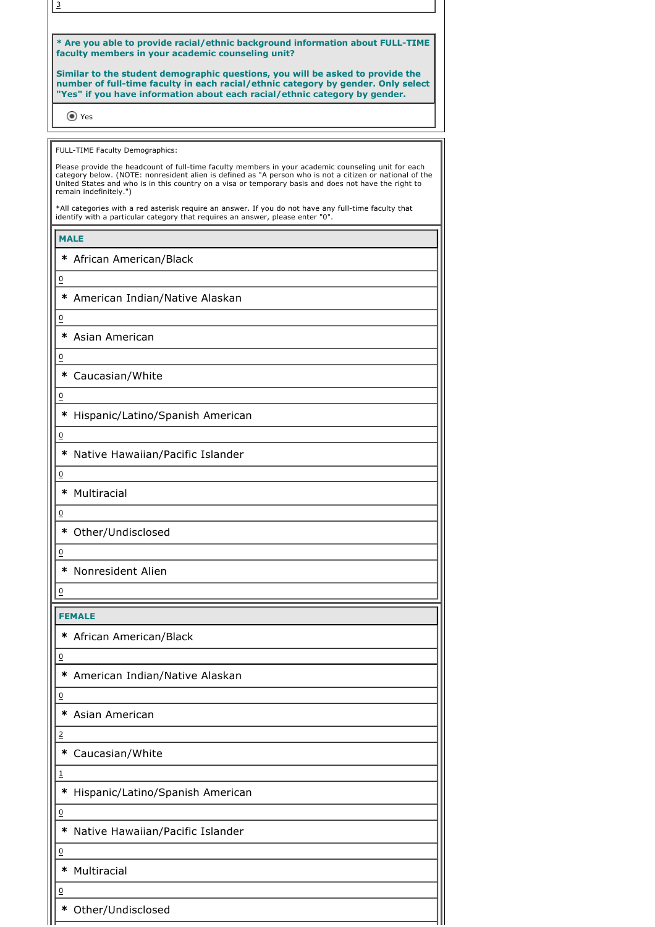| $\overline{3}$         |                                                                                                                                                                                                                                                                                                                         |
|------------------------|-------------------------------------------------------------------------------------------------------------------------------------------------------------------------------------------------------------------------------------------------------------------------------------------------------------------------|
|                        |                                                                                                                                                                                                                                                                                                                         |
|                        | * Are you able to provide racial/ethnic background information about FULL-TIME<br>faculty members in your academic counseling unit?                                                                                                                                                                                     |
|                        | Similar to the student demographic questions, you will be asked to provide the<br>number of full-time faculty in each racial/ethnic category by gender. Only select<br>"Yes" if you have information about each racial/ethnic category by gender.                                                                       |
| O Yes                  |                                                                                                                                                                                                                                                                                                                         |
|                        |                                                                                                                                                                                                                                                                                                                         |
|                        | FULL-TIME Faculty Demographics:                                                                                                                                                                                                                                                                                         |
| remain indefinitely.") | Please provide the headcount of full-time faculty members in your academic counseling unit for each<br>category below. (NOTE: nonresident alien is defined as "A person who is not a citizen or national of the<br>United States and who is in this country on a visa or temporary basis and does not have the right to |
|                        | *All categories with a red asterisk require an answer. If you do not have any full-time faculty that<br>identify with a particular category that requires an answer, please enter "0".                                                                                                                                  |
| <b>MALE</b>            |                                                                                                                                                                                                                                                                                                                         |
|                        | * African American/Black                                                                                                                                                                                                                                                                                                |
| 0                      |                                                                                                                                                                                                                                                                                                                         |
|                        | * American Indian/Native Alaskan                                                                                                                                                                                                                                                                                        |
| 0                      |                                                                                                                                                                                                                                                                                                                         |
|                        | * Asian American                                                                                                                                                                                                                                                                                                        |
| $\overline{0}$         |                                                                                                                                                                                                                                                                                                                         |
|                        | * Caucasian/White                                                                                                                                                                                                                                                                                                       |
| $\overline{0}$         |                                                                                                                                                                                                                                                                                                                         |
|                        | * Hispanic/Latino/Spanish American                                                                                                                                                                                                                                                                                      |
| $\overline{0}$         |                                                                                                                                                                                                                                                                                                                         |
|                        | * Native Hawaiian/Pacific Islander                                                                                                                                                                                                                                                                                      |
| 0                      |                                                                                                                                                                                                                                                                                                                         |
| ∗<br>Multiracial       |                                                                                                                                                                                                                                                                                                                         |
| $\overline{0}$         |                                                                                                                                                                                                                                                                                                                         |
|                        | * Other/Undisclosed                                                                                                                                                                                                                                                                                                     |
| $\overline{0}$         |                                                                                                                                                                                                                                                                                                                         |
| ∗                      | Nonresident Alien                                                                                                                                                                                                                                                                                                       |
| $\overline{0}$         |                                                                                                                                                                                                                                                                                                                         |
|                        |                                                                                                                                                                                                                                                                                                                         |
| <b>FEMALE</b>          |                                                                                                                                                                                                                                                                                                                         |
|                        | * African American/Black                                                                                                                                                                                                                                                                                                |
| $\overline{0}$         |                                                                                                                                                                                                                                                                                                                         |
| ∗                      | American Indian/Native Alaskan                                                                                                                                                                                                                                                                                          |
| $\overline{0}$         |                                                                                                                                                                                                                                                                                                                         |
| ∗                      | Asian American                                                                                                                                                                                                                                                                                                          |
| $\overline{2}$         |                                                                                                                                                                                                                                                                                                                         |
| ∗                      | Caucasian/White                                                                                                                                                                                                                                                                                                         |
| <u>1</u>               |                                                                                                                                                                                                                                                                                                                         |
| ∗                      | Hispanic/Latino/Spanish American                                                                                                                                                                                                                                                                                        |
| $\overline{0}$         |                                                                                                                                                                                                                                                                                                                         |
| ∗                      | Native Hawaiian/Pacific Islander                                                                                                                                                                                                                                                                                        |
| $\overline{0}$         |                                                                                                                                                                                                                                                                                                                         |
| Multiracial<br>∗       |                                                                                                                                                                                                                                                                                                                         |
| $\underline{0}$        |                                                                                                                                                                                                                                                                                                                         |
| ∗                      | Other/Undisclosed                                                                                                                                                                                                                                                                                                       |
|                        |                                                                                                                                                                                                                                                                                                                         |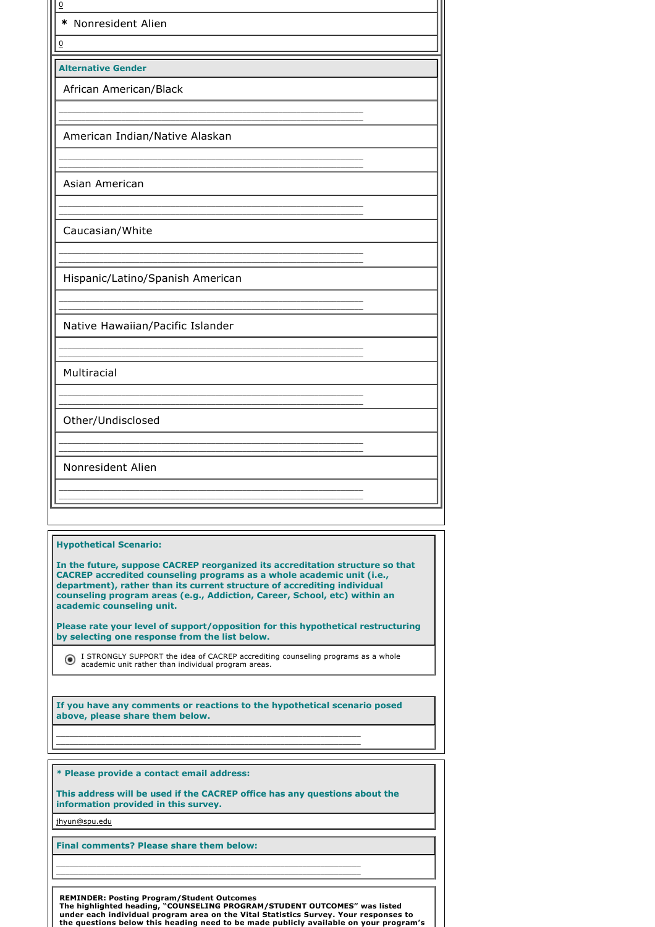| $\overline{0}$<br>* Nonresident Alien                                                                                                                                                                                                                                                                                                        |
|----------------------------------------------------------------------------------------------------------------------------------------------------------------------------------------------------------------------------------------------------------------------------------------------------------------------------------------------|
| $\overline{0}$                                                                                                                                                                                                                                                                                                                               |
| <b>Alternative Gender</b>                                                                                                                                                                                                                                                                                                                    |
| African American/Black                                                                                                                                                                                                                                                                                                                       |
|                                                                                                                                                                                                                                                                                                                                              |
| American Indian/Native Alaskan                                                                                                                                                                                                                                                                                                               |
|                                                                                                                                                                                                                                                                                                                                              |
| Asian American                                                                                                                                                                                                                                                                                                                               |
|                                                                                                                                                                                                                                                                                                                                              |
| Caucasian/White                                                                                                                                                                                                                                                                                                                              |
|                                                                                                                                                                                                                                                                                                                                              |
| Hispanic/Latino/Spanish American                                                                                                                                                                                                                                                                                                             |
|                                                                                                                                                                                                                                                                                                                                              |
| Native Hawaiian/Pacific Islander                                                                                                                                                                                                                                                                                                             |
|                                                                                                                                                                                                                                                                                                                                              |
| Multiracial                                                                                                                                                                                                                                                                                                                                  |
|                                                                                                                                                                                                                                                                                                                                              |
| Other/Undisclosed                                                                                                                                                                                                                                                                                                                            |
|                                                                                                                                                                                                                                                                                                                                              |
| Nonresident Alien                                                                                                                                                                                                                                                                                                                            |
|                                                                                                                                                                                                                                                                                                                                              |
|                                                                                                                                                                                                                                                                                                                                              |
| <b>Hypothetical Scenario:</b>                                                                                                                                                                                                                                                                                                                |
| In the future, suppose CACREP reorganized its accreditation structure so that<br>CACREP accredited counseling programs as a whole academic unit (i.e.,<br>department), rather than its current structure of accrediting individual<br>counseling program areas (e.g., Addiction, Career, School, etc) within an<br>academic counseling unit. |
| Please rate your level of support/opposition for this hypothetical restructuring<br>by selecting one response from the list below.                                                                                                                                                                                                           |
| I STRONGLY SUPPORT the idea of CACREP accrediting counseling programs as a whole<br>academic unit rather than individual program areas.                                                                                                                                                                                                      |
| If you have any comments or reactions to the hypothetical scenario posed<br>above, please share them below.                                                                                                                                                                                                                                  |
|                                                                                                                                                                                                                                                                                                                                              |
| * Please provide a contact email address:<br>This address will be used if the CACREP office has any questions about the                                                                                                                                                                                                                      |
| information provided in this survey.                                                                                                                                                                                                                                                                                                         |

jhyun@spu.edu

**Final comments? Please share them below:**

REMINDER: Posting Program/Student Outcomes<br>The highlighted heading, "COUNSELING PROGRAM/STUDENT OUTCOMES" was listed<br>under each individual program area on the Vital Statistics Survey. Your responses to<br>the questions below

\_\_\_\_\_\_\_\_\_\_\_\_\_\_\_\_\_\_\_\_\_\_\_\_\_\_\_\_\_\_\_\_\_\_\_\_\_\_\_\_\_\_\_\_\_\_\_\_\_\_\_\_\_\_\_\_\_\_\_\_\_\_\_\_\_\_\_\_ \_\_\_\_\_\_\_\_\_\_\_\_\_\_\_\_\_\_\_\_\_\_\_\_\_\_\_\_\_\_\_\_\_\_\_\_\_\_\_\_\_\_\_\_\_\_\_\_\_\_\_\_\_\_\_\_\_\_\_\_\_\_\_\_\_\_\_\_

i.